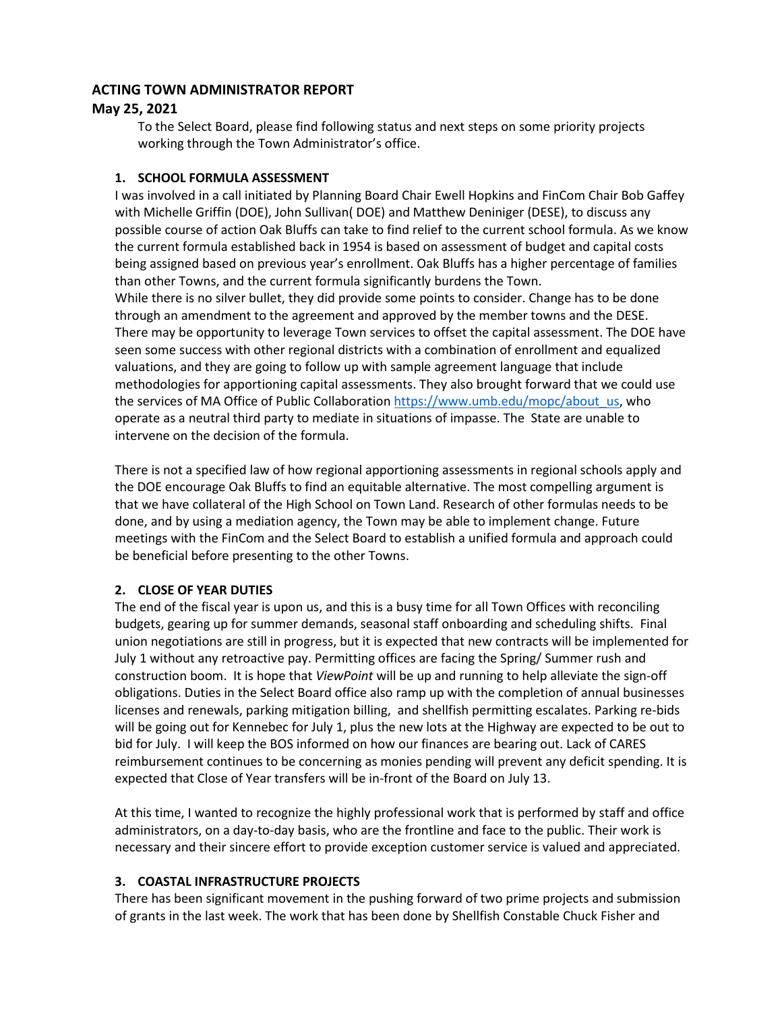### **ACTING TOWN ADMINISTRATOR REPORT**

# **May 25, 2021**

To the Select Board, please find following status and next steps on some priority projects working through the Town Administrator's office.

### **1. SCHOOL FORMULA ASSESSMENT**

I was involved in a call initiated by Planning Board Chair Ewell Hopkins and FinCom Chair Bob Gaffey with Michelle Griffin (DOE), John Sullivan( DOE) and Matthew Deniniger (DESE), to discuss any possible course of action Oak Bluffs can take to find relief to the current school formula. As we know the current formula established back in 1954 is based on assessment of budget and capital costs being assigned based on previous year's enrollment. Oak Bluffs has a higher percentage of families than other Towns, and the current formula significantly burdens the Town. While there is no silver bullet, they did provide some points to consider. Change has to be done through an amendment to the agreement and approved by the member towns and the DESE. There may be opportunity to leverage Town services to offset the capital assessment. The DOE have seen some success with other regional districts with a combination of enrollment and equalized valuations, and they are going to follow up with sample agreement language that include methodologies for apportioning capital assessments. They also brought forward that we could use the services of MA Office of Public Collaboratio[n https://www.umb.edu/mopc/about\\_us,](https://www.umb.edu/mopc/about_us) who operate as a neutral third party to mediate in situations of impasse. The State are unable to intervene on the decision of the formula.

There is not a specified law of how regional apportioning assessments in regional schools apply and the DOE encourage Oak Bluffs to find an equitable alternative. The most compelling argument is that we have collateral of the High School on Town Land. Research of other formulas needs to be done, and by using a mediation agency, the Town may be able to implement change. Future meetings with the FinCom and the Select Board to establish a unified formula and approach could be beneficial before presenting to the other Towns.

# **2. CLOSE OF YEAR DUTIES**

The end of the fiscal year is upon us, and this is a busy time for all Town Offices with reconciling budgets, gearing up for summer demands, seasonal staff onboarding and scheduling shifts. Final union negotiations are still in progress, but it is expected that new contracts will be implemented for July 1 without any retroactive pay. Permitting offices are facing the Spring/ Summer rush and construction boom. It is hope that *ViewPoint* will be up and running to help alleviate the sign-off obligations. Duties in the Select Board office also ramp up with the completion of annual businesses licenses and renewals, parking mitigation billing, and shellfish permitting escalates. Parking re-bids will be going out for Kennebec for July 1, plus the new lots at the Highway are expected to be out to bid for July. I will keep the BOS informed on how our finances are bearing out. Lack of CARES reimbursement continues to be concerning as monies pending will prevent any deficit spending. It is expected that Close of Year transfers will be in-front of the Board on July 13.

At this time, I wanted to recognize the highly professional work that is performed by staff and office administrators, on a day-to-day basis, who are the frontline and face to the public. Their work is necessary and their sincere effort to provide exception customer service is valued and appreciated.

# **3. COASTAL INFRASTRUCTURE PROJECTS**

There has been significant movement in the pushing forward of two prime projects and submission of grants in the last week. The work that has been done by Shellfish Constable Chuck Fisher and